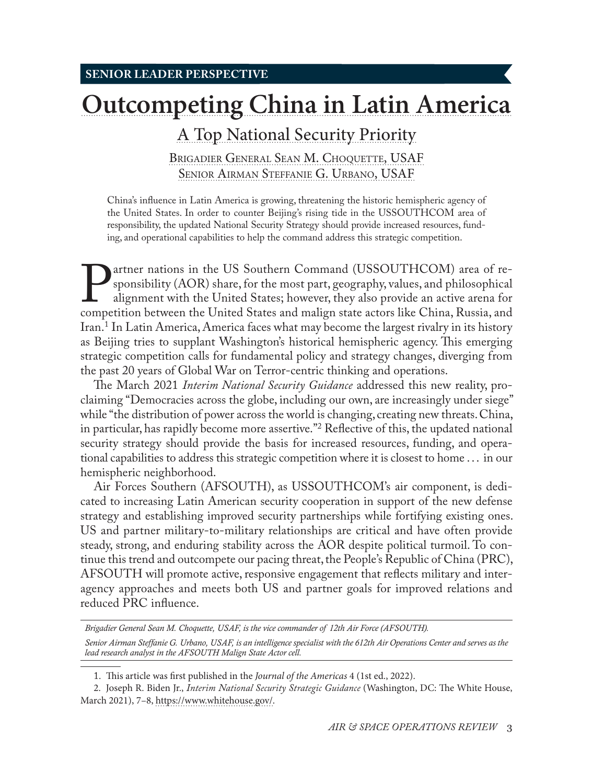# **[Outcompeting China in Latin America](#page-0-0)**

## [A Top National Security Priority](#page-0-0)

Brigadier [General Sean M. Choquette, USAF](#page-0-0) Senior Airman Steffanie [G. Urbano, USAF](#page-0-0)

China's influence in Latin America is growing, threatening the historic hemispheric agency of the United States. In order to counter Beijing's rising tide in the USSOUTHCOM area of responsibility, the updated National Security Strategy should provide increased resources, funding, and operational capabilities to help the command address this strategic competition.

**Partner nations in the US Southern Command (USSOUTHCOM)** area of re-<br>sponsibility (AOR) share, for the most part, geography, values, and philosophical<br>alignment with the United States; however, they also provide an active sponsibility (AOR) share, for the most part, geography, values, and philosophical alignment with the United States; however, they also provide an active arena for Iran.1 In Latin America, America faces what may become the largest rivalry in its history as Beijing tries to supplant Washington's historical hemispheric agency. This emerging strategic competition calls for fundamental policy and strategy changes, diverging from the past 20 years of Global War on Terror-centric thinking and operations.

The March 2021 *Interim National Security Guidance* addressed this new reality, proclaiming "Democracies across the globe, including our own, are increasingly under siege" while "the distribution of power across the world is changing, creating new threats. China, in particular, has rapidly become more assertive."2 Reflective of this, the updated national security strategy should provide the basis for increased resources, funding, and operational capabilities to address this strategic competition where it is closest to home . . . in our hemispheric neighborhood.

Air Forces Southern (AFSOUTH), as USSOUTHCOM's air component, is dedicated to increasing Latin American security cooperation in support of the new defense strategy and establishing improved security partnerships while fortifying existing ones. US and partner military-to-military relationships are critical and have often provide steady, strong, and enduring stability across the AOR despite political turmoil. To continue this trend and outcompete our pacing threat, the People's Republic of China (PRC), AFSOUTH will promote active, responsive engagement that reflects military and interagency approaches and meets both US and partner goals for improved relations and reduced PRC influence.

*Brigadier General Sean M. Choquette, USAF, is the vice commander of 12th Air Force (AFSOUTH).*

*Senior Airman Steffanie G. Urbano, USAF, is an intelligence specialist with the 612th Air Operations Center and serves as the lead research analyst in the AFSOUTH Malign State Actor cell.*

<sup>1</sup>. This article was first published in the *Journal of the Americas* 4 (1st ed., 2022).

<span id="page-0-0"></span><sup>2.</sup> Joseph R. Biden Jr., *Interim National Security Strategic Guidance* (Washington, DC: The White House, March 2021), 7–8, [https://www.whitehouse.gov/](https://www.whitehouse.gov/wp-content/uploads/2021/03/NSC-1v2.pdf).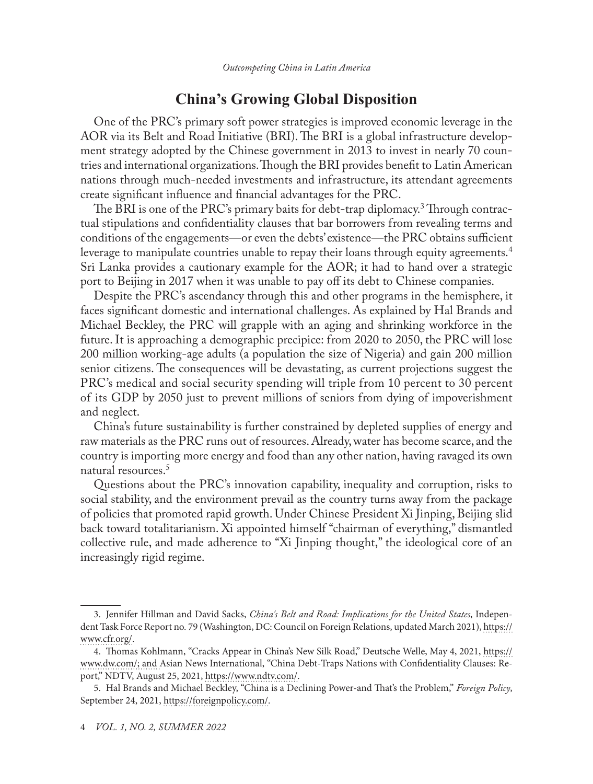## **China's Growing Global Disposition**

One of the PRC's primary soft power strategies is improved economic leverage in the AOR via its Belt and Road Initiative (BRI). The BRI is a global infrastructure development strategy adopted by the Chinese government in 2013 to invest in nearly 70 countries and international organizations. Though the BRI provides benefit to Latin American nations through much-needed investments and infrastructure, its attendant agreements create significant influence and financial advantages for the PRC.

The BRI is one of the PRC's primary baits for debt-trap diplomacy.<sup>3</sup> Through contractual stipulations and confidentiality clauses that bar borrowers from revealing terms and conditions of the engagements—or even the debts' existence—the PRC obtains sufficient leverage to manipulate countries unable to repay their loans through equity agreements.<sup>4</sup> Sri Lanka provides a cautionary example for the AOR; it had to hand over a strategic port to Beijing in 2017 when it was unable to pay off its debt to Chinese companies.

Despite the PRC's ascendancy through this and other programs in the hemisphere, it faces significant domestic and international challenges. As explained by Hal Brands and Michael Beckley, the PRC will grapple with an aging and shrinking workforce in the future. It is approaching a demographic precipice: from 2020 to 2050, the PRC will lose 200 million working-age adults (a population the size of Nigeria) and gain 200 million senior citizens. The consequences will be devastating, as current projections suggest the PRC's medical and social security spending will triple from 10 percent to 30 percent of its GDP by 2050 just to prevent millions of seniors from dying of impoverishment and neglect.

China's future sustainability is further constrained by depleted supplies of energy and raw materials as the PRC runs out of resources. Already, water has become scarce, and the country is importing more energy and food than any other nation, having ravaged its own natural resources.<sup>5</sup>

Questions about the PRC's innovation capability, inequality and corruption, risks to social stability, and the environment prevail as the country turns away from the package of policies that promoted rapid growth. Under Chinese President Xi Jinping, Beijing slid back toward totalitarianism. Xi appointed himself "chairman of everything," dismantled collective rule, and made adherence to "Xi Jinping thought," the ideological core of an increasingly rigid regime.

<sup>3.</sup> Jennifer Hillman and David Sacks, *China's Belt and Road: Implications for the United States*, Independent Task Force Report no. 79 (Washington, DC: Council on Foreign Relations, updated March 2021), [https://](https://www.cfr.org/report/chinas-belt-and-road-implications-for-the-united-states/) [www.cfr.org/](https://www.cfr.org/report/chinas-belt-and-road-implications-for-the-united-states/).

<sup>4.</sup> Thomas Kohlmann, "Cracks Appear in China's New Silk Road," Deutsche Welle, May 4, 2021, [https://](https://www.dw.com/en/cracks-appear-in-chinas-new-silk-road/a-57388521) [www.dw.com/](https://www.dw.com/en/cracks-appear-in-chinas-new-silk-road/a-57388521); and Asian News International, "China Debt-Traps Nations with Confidentiality Clauses: Report," NDTV, August 25, 2021, [https://www.ndtv.com/](https://www.ndtv.com/world---news /china---debt---traps---nations---with---confidentiality---clauses---report-2518196).

<sup>5.</sup> Hal Brands and Michael Beckley, "China is a Declining Power-and That's the Problem," *Foreign Policy*, September 24, 2021, [https://foreignpolicy.com/](https://foreignpolicy.com/2021/09/24/china-great-power-united-states/).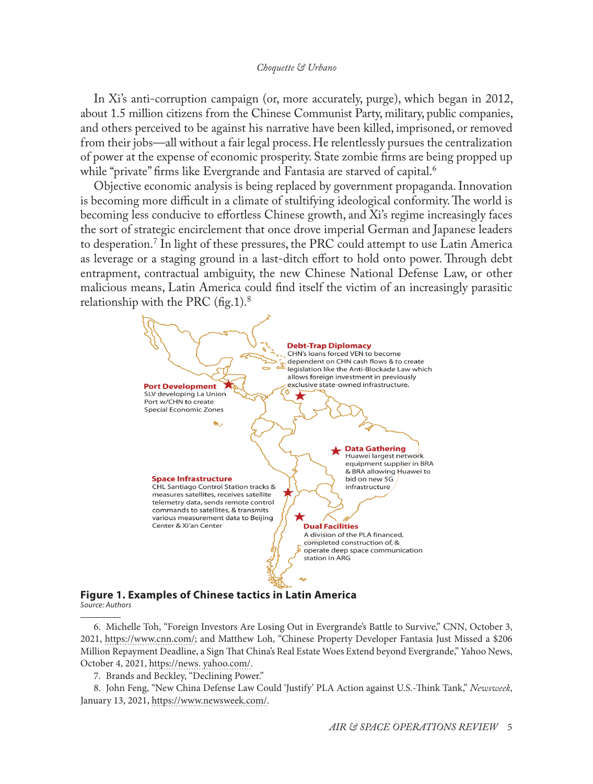In Xi's anti-corruption campaign (or, more accurately, purge), which began in 2012, about 1.5 million citizens from the Chinese Communist Party, military, public companies, and others perceived to be against his narrative have been killed, imprisoned, or removed from their jobs—all without a fair legal process. He relentlessly pursues the centralization of power at the expense of economic prosperity. State zombie firms are being propped up while "private" firms like Evergrande and Fantasia are starved of capital.<sup>6</sup>

Objective economic analysis is being replaced by government propaganda. Innovation is becoming more difficult in a climate of stultifying ideological conformity. The world is becoming less conducive to effortless Chinese growth, and Xi's regime increasingly faces the sort of strategic encirclement that once drove imperial German and Japanese leaders to desperation.7 In light of these pressures, the PRC could attempt to use Latin America as leverage or a staging ground in a last-ditch effort to hold onto power. Through debt entrapment, contractual ambiguity, the new Chinese National Defense Law, or other malicious means, Latin America could find itself the victim of an increasingly parasitic relationship with the PRC  $(f_1g_1)^8$ .



#### **Figure 1. Examples of Chinese tactics in Latin America** *Source: Authors*

6. Michelle Toh, "Foreign Investors Are Losing Out in Evergrande's Battle to Survive," CNN, October 3, 2021, [https://www.cnn.com/](https://www.cnn.com/2021/10/01/business/evergrande-debt-crisis-latest-update-intl-hnk/index.html); and Matthew Loh, "Chinese Property Developer Fantasia Just Missed a \$206 Million Repayment Deadline, a Sign That China's Real Estate Woes Extend beyond Evergrande," Yahoo News, October 4, 2021, https://news. yahoo.com/.

7. Brands and Beckley, "Declining Power."

8. John Feng, "New China Defense Law Could 'Justify' PLA Action against U.S.-Think Tank," *Newsweek*, January 13, 2021, [https://www.newsweek.com/](https://www.newsweek.com/new-china-defense-law-justify-pla-action-against-us-think-tank-1561146).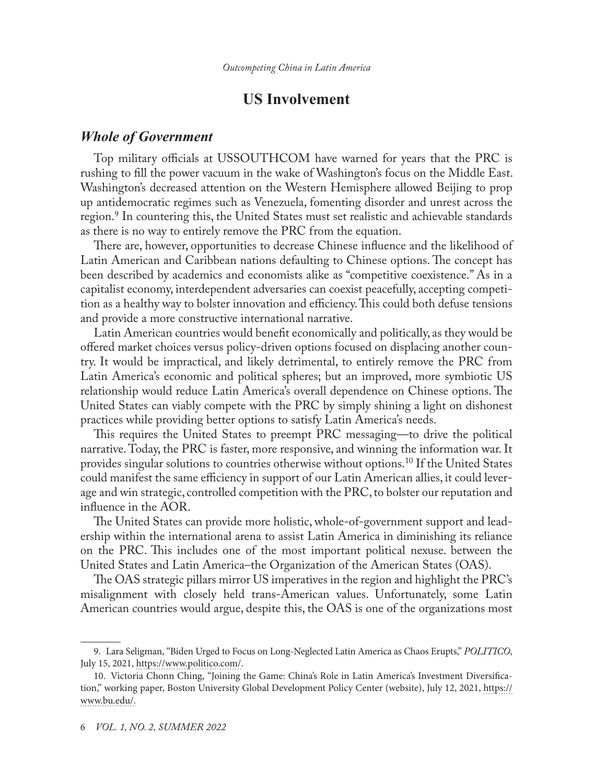## **US Involvement**

### *Whole of Government*

Top military officials at USSOUTHCOM have warned for years that the PRC is rushing to fill the power vacuum in the wake of Washington's focus on the Middle East. Washington's decreased attention on the Western Hemisphere allowed Beijing to prop up antidemocratic regimes such as Venezuela, fomenting disorder and unrest across the region.<sup>9</sup> In countering this, the United States must set realistic and achievable standards as there is no way to entirely remove the PRC from the equation.

There are, however, opportunities to decrease Chinese influence and the likelihood of Latin American and Caribbean nations defaulting to Chinese options. The concept has been described by academics and economists alike as "competitive coexistence." As in a capitalist economy, interdependent adversaries can coexist peacefully, accepting competition as a healthy way to bolster innovation and efficiency. This could both defuse tensions and provide a more constructive international narrative.

Latin American countries would benefit economically and politically, as they would be offered market choices versus policy-driven options focused on displacing another country. It would be impractical, and likely detrimental, to entirely remove the PRC from Latin America's economic and political spheres; but an improved, more symbiotic US relationship would reduce Latin America's overall dependence on Chinese options. The United States can viably compete with the PRC by simply shining a light on dishonest practices while providing better options to satisfy Latin America's needs.

This requires the United States to preempt PRC messaging—to drive the political narrative. Today, the PRC is faster, more responsive, and winning the information war. It provides singular solutions to countries otherwise without options.10 If the United States could manifest the same efficiency in support of our Latin American allies, it could leverage and win strategic, controlled competition with the PRC, to bolster our reputation and influence in the AOR.

The United States can provide more holistic, whole-of-government support and leadership within the international arena to assist Latin America in diminishing its reliance on the PRC. This includes one of the most important political nexuse. between the United States and Latin America–the Organization of the American States (OAS).

The OAS strategic pillars mirror US imperatives in the region and highlight the PRC's misalignment with closely held trans-American values. Unfortunately, some Latin American countries would argue, despite this, the OAS is one of the organizations most

<sup>9.</sup> Lara Seligman, "Biden Urged to Focus on Long-Neglected Latin America as Chaos Erupts," *POLITICO*, July 15, 2021, [https://www.politico.com/](https://www.politico.com/news/2021/07/15/biden-latin-america-crisis-499752).

<sup>10.</sup> Victoria Chonn Ching, "Joining the Game: China's Role in Latin America's Investment Diversification," working paper, Boston University Global Development Policy Center (website), July 12, 2021, [https://](https://www.bu.edu/gdp/2021/07/12/joining-the-game-chinas-role-in-latin-americas-investment-diversification/) [www.bu.edu/.](https://www.bu.edu/gdp/2021/07/12/joining-the-game-chinas-role-in-latin-americas-investment-diversification/)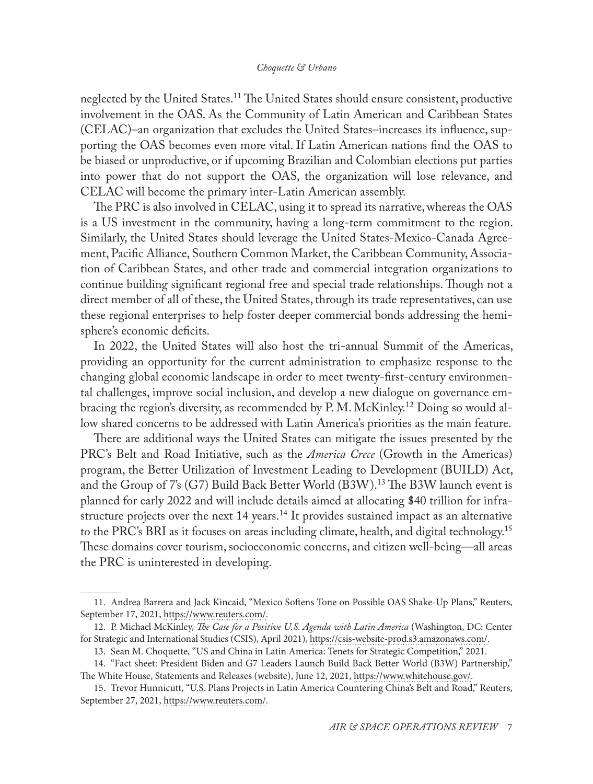#### *Choquette & Urbano*

neglected by the United States.<sup>11</sup> The United States should ensure consistent, productive involvement in the OAS. As the Community of Latin American and Caribbean States (CELAC)–an organization that excludes the United States–increases its influence, supporting the OAS becomes even more vital. If Latin American nations find the OAS to be biased or unproductive, or if upcoming Brazilian and Colombian elections put parties into power that do not support the OAS, the organization will lose relevance, and CELAC will become the primary inter-Latin American assembly.

The PRC is also involved in CELAC, using it to spread its narrative, whereas the OAS is a US investment in the community, having a long-term commitment to the region. Similarly, the United States should leverage the United States-Mexico-Canada Agreement, Pacific Alliance, Southern Common Market, the Caribbean Community, Association of Caribbean States, and other trade and commercial integration organizations to continue building significant regional free and special trade relationships. Though not a direct member of all of these, the United States, through its trade representatives, can use these regional enterprises to help foster deeper commercial bonds addressing the hemisphere's economic deficits.

In 2022, the United States will also host the tri-annual Summit of the Americas, providing an opportunity for the current administration to emphasize response to the changing global economic landscape in order to meet twenty-first-century environmental challenges, improve social inclusion, and develop a new dialogue on governance embracing the region's diversity, as recommended by P. M. McKinley.12 Doing so would allow shared concerns to be addressed with Latin America's priorities as the main feature.

There are additional ways the United States can mitigate the issues presented by the PRC's Belt and Road Initiative, such as the *America Crece* (Growth in the Americas) program, the Better Utilization of Investment Leading to Development (BUILD) Act, and the Group of 7's (G7) Build Back Better World (B3W).13 The B3W launch event is planned for early 2022 and will include details aimed at allocating \$40 trillion for infrastructure projects over the next  $14$  years.<sup>14</sup> It provides sustained impact as an alternative to the PRC's BRI as it focuses on areas including climate, health, and digital technology.<sup>15</sup> These domains cover tourism, socioeconomic concerns, and citizen well-being—all areas the PRC is uninterested in developing.

<sup>11.</sup> Andrea Barrera and Jack Kincaid, "Mexico Softens Tone on Possible OAS Shake-Up Plans," Reuters, September 17, 2021, [https://www.reuters.com/](https://www.reuters.com/world/americas/mexico-softens-tone-possible-oas-shake-up-plans-2021-09-17/).

<sup>12.</sup> P. Michael McKinley, *The Case for a Positive U.S. Agenda with Latin America* (Washington, DC: Center for Strategic and International Studies (CSIS), April 2021), [https://csis-website-prod.s3.amazonaws.com/.](https://csis-website-prod.s3.amazonaws.com/s3fs-public/publication/210422_McKinley_USAgenda_LatinAmerica.pdf?4llugI0YdlONekfE0Ii7AEevhbEkrVQ)

<sup>13.</sup> Sean M. Choquette, "US and China in Latin America: Tenets for Strategic Competition," 2021.

<sup>14.</sup> "Fact sheet: President Biden and G7 Leaders Launch Build Back Better World (B3W) Partnership," The White House, Statements and Releases (website), June 12, 2021, [https://www.whitehouse.gov/.](https://www.whitehouse.gov/briefing-room/statements-releases/2021/06/12/fact-sheet-president-biden-and-g7-leaders-launch-build-back-better-world-b3w-partnership/)

<sup>15.</sup> Trevor Hunnicutt, "U.S. Plans Projects in Latin America Countering China's Belt and Road," Reuters, September 27, 2021, [https://www.reuters.com/](https://www.reuters.com/world/americas/us-plans-projects-latin-america-countering-chinas-belt-road-2021-09-27/).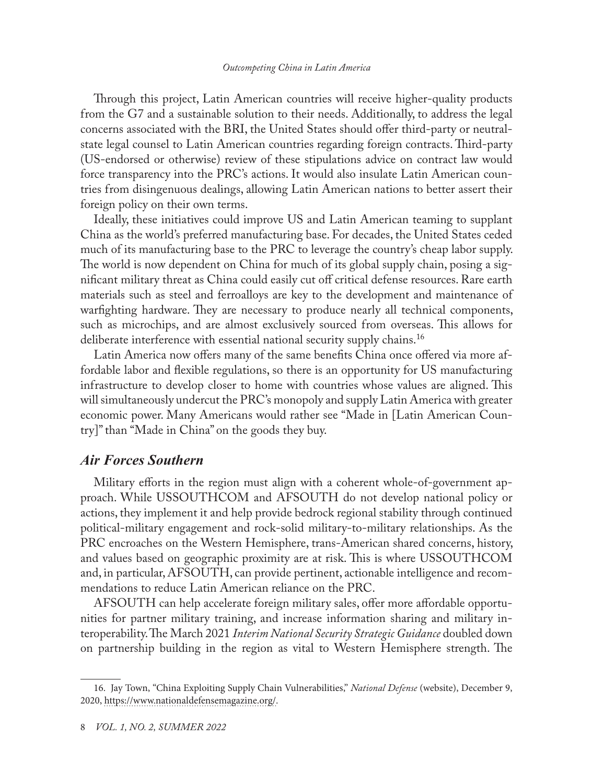#### *Outcompeting China in Latin America*

Through this project, Latin American countries will receive higher-quality products from the G7 and a sustainable solution to their needs. Additionally, to address the legal concerns associated with the BRI, the United States should offer third-party or neutral state legal counsel to Latin American countries regarding foreign contracts. Third-party (US-endorsed or otherwise) review of these stipulations advice on contract law would force transparency into the PRC's actions. It would also insulate Latin American countries from disingenuous dealings, allowing Latin American nations to better assert their foreign policy on their own terms.

Ideally, these initiatives could improve US and Latin American teaming to supplant China as the world's preferred manufacturing base. For decades, the United States ceded much of its manufacturing base to the PRC to leverage the country's cheap labor supply. The world is now dependent on China for much of its global supply chain, posing a significant military threat as China could easily cut off critical defense resources. Rare earth materials such as steel and ferroalloys are key to the development and maintenance of warfighting hardware. They are necessary to produce nearly all technical components, such as microchips, and are almost exclusively sourced from overseas. This allows for deliberate interference with essential national security supply chains.<sup>16</sup>

Latin America now offers many of the same benefits China once offered via more affordable labor and flexible regulations, so there is an opportunity for US manufacturing infrastructure to develop closer to home with countries whose values are aligned. This will simultaneously undercut the PRC's monopoly and supply Latin America with greater economic power. Many Americans would rather see "Made in [Latin American Country]" than "Made in China" on the goods they buy.

## *Air Forces Southern*

Military efforts in the region must align with a coherent whole-of-government approach. While USSOUTHCOM and AFSOUTH do not develop national policy or actions, they implement it and help provide bedrock regional stability through continued political-military engagement and rock-solid military-to-military relationships. As the PRC encroaches on the Western Hemisphere, trans-American shared concerns, history, and values based on geographic proximity are at risk. This is where USSOUTHCOM and, in particular, AFSOUTH, can provide pertinent, actionable intelligence and recommendations to reduce Latin American reliance on the PRC.

AFSOUTH can help accelerate foreign military sales, offer more affordable opportunities for partner military training, and increase information sharing and military interoperability. The March 2021 *Interim National Security Strategic Guidance* doubled down on partnership building in the region as vital to Western Hemisphere strength. The

<sup>16.</sup> Jay Town, "China Exploiting Supply Chain Vulnerabilities," *National Defense* (website), December 9, 2020, [https://www.nationaldefensemagazine.org/](https://www.nationaldefensemagazine.org/articles/2020/12/9/china-exploiting-supply-chain-vulnerabilities).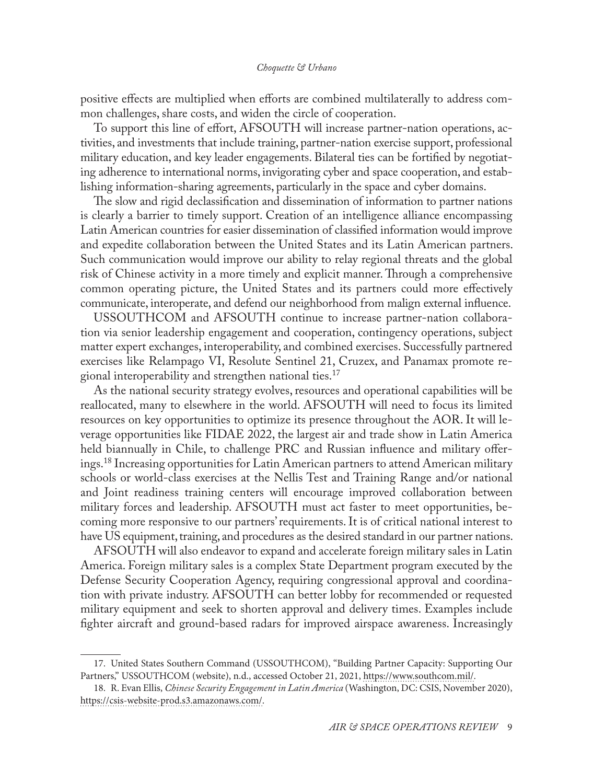#### *Choquette & Urbano*

positive effects are multiplied when efforts are combined multilaterally to address common challenges, share costs, and widen the circle of cooperation.

To support this line of effort, AFSOUTH will increase partner-nation operations, activities, and investments that include training, partner-nation exercise support, professional military education, and key leader engagements. Bilateral ties can be fortified by negotiating adherence to international norms, invigorating cyber and space cooperation, and establishing information-sharing agreements, particularly in the space and cyber domains.

The slow and rigid declassification and dissemination of information to partner nations is clearly a barrier to timely support. Creation of an intelligence alliance encompassing Latin American countries for easier dissemination of classified information would improve and expedite collaboration between the United States and its Latin American partners. Such communication would improve our ability to relay regional threats and the global risk of Chinese activity in a more timely and explicit manner. Through a comprehensive common operating picture, the United States and its partners could more effectively communicate, interoperate, and defend our neighborhood from malign external influence.

USSOUTHCOM and AFSOUTH continue to increase partner-nation collaboration via senior leadership engagement and cooperation, contingency operations, subject matter expert exchanges, interoperability, and combined exercises. Successfully partnered exercises like Relampago VI, Resolute Sentinel 21, Cruzex, and Panamax promote regional interoperability and strengthen national ties.<sup>17</sup>

As the national security strategy evolves, resources and operational capabilities will be reallocated, many to elsewhere in the world. AFSOUTH will need to focus its limited resources on key opportunities to optimize its presence throughout the AOR. It will leverage opportunities like FIDAE 2022, the largest air and trade show in Latin America held biannually in Chile, to challenge PRC and Russian influence and military offerings.<sup>18</sup> Increasing opportunities for Latin American partners to attend American military schools or world-class exercises at the Nellis Test and Training Range and/or national and Joint readiness training centers will encourage improved collaboration between military forces and leadership. AFSOUTH must act faster to meet opportunities, becoming more responsive to our partners' requirements. It is of critical national interest to have US equipment, training, and procedures as the desired standard in our partner nations.

AFSOUTH will also endeavor to expand and accelerate foreign military sales in Latin America. Foreign military sales is a complex State Department program executed by the Defense Security Cooperation Agency, requiring congressional approval and coordination with private industry. AFSOUTH can better lobby for recommended or requested military equipment and seek to shorten approval and delivery times. Examples include fighter aircraft and ground-based radars for improved airspace awareness. Increasingly

<sup>17.</sup> United States Southern Command (USSOUTHCOM), "Building Partner Capacity: Supporting Our Partners," USSOUTHCOM (website), n.d., accessed October 21, 2021, [https://www.southcom.mil/](https://www.southcom.mil/Commanders-Priorities/Strengthen-Partnerships/Building-Partner-Capacity/).

<sup>18.</sup> R. Evan Ellis, *Chinese Security Engagement in Latin America* (Washington, DC: CSIS, November 2020), [https://csis-website-prod.s3.amazonaws.com/.](https://csis-website-prod.s3.amazonaws.com/s3fs-public/publication/201119_Chinese_Security_Engagement.pdf)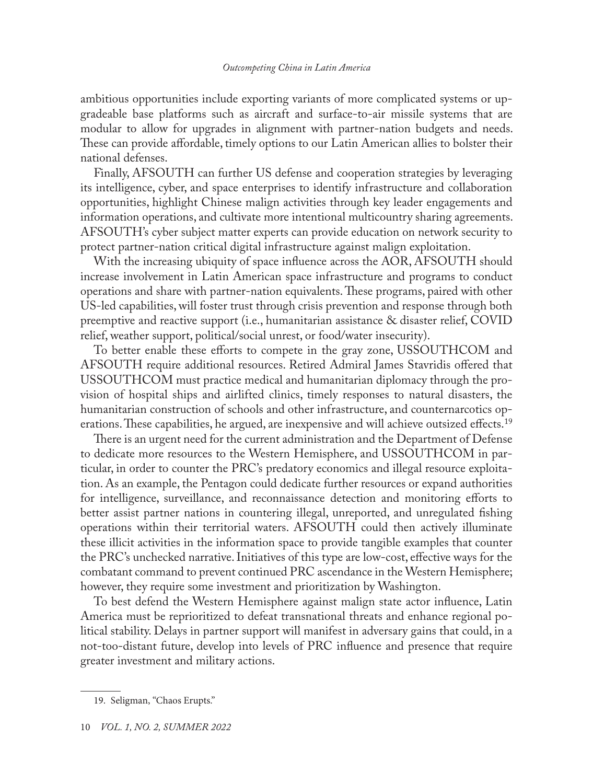#### *Outcompeting China in Latin America*

ambitious opportunities include exporting variants of more complicated systems or upgradeable base platforms such as aircraft and surface-to-air missile systems that are modular to allow for upgrades in alignment with partner-nation budgets and needs. These can provide affordable, timely options to our Latin American allies to bolster their national defenses.

Finally, AFSOUTH can further US defense and cooperation strategies by leveraging its intelligence, cyber, and space enterprises to identify infrastructure and collaboration opportunities, highlight Chinese malign activities through key leader engagements and information operations, and cultivate more intentional multicountry sharing agreements. AFSOUTH's cyber subject matter experts can provide education on network security to protect partner-nation critical digital infrastructure against malign exploitation.

With the increasing ubiquity of space influence across the AOR, AFSOUTH should increase involvement in Latin American space infrastructure and programs to conduct operations and share with partner-nation equivalents. These programs, paired with other US-led capabilities, will foster trust through crisis prevention and response through both preemptive and reactive support (i.e., humanitarian assistance & disaster relief, COVID relief, weather support, political/social unrest, or food/water insecurity).

To better enable these efforts to compete in the gray zone, USSOUTHCOM and AFSOUTH require additional resources. Retired Admiral James Stavridis offered that USSOUTHCOM must practice medical and humanitarian diplomacy through the provision of hospital ships and airlifted clinics, timely responses to natural disasters, the humanitarian construction of schools and other infrastructure, and counternarcotics operations. These capabilities, he argued, are inexpensive and will achieve outsized effects.<sup>19</sup>

There is an urgent need for the current administration and the Department of Defense to dedicate more resources to the Western Hemisphere, and USSOUTHCOM in particular, in order to counter the PRC's predatory economics and illegal resource exploitation. As an example, the Pentagon could dedicate further resources or expand authorities for intelligence, surveillance, and reconnaissance detection and monitoring efforts to better assist partner nations in countering illegal, unreported, and unregulated fishing operations within their territorial waters. AFSOUTH could then actively illuminate these illicit activities in the information space to provide tangible examples that counter the PRC's unchecked narrative. Initiatives of this type are low-cost, effective ways for the combatant command to prevent continued PRC ascendance in the Western Hemisphere; however, they require some investment and prioritization by Washington.

To best defend the Western Hemisphere against malign state actor influence, Latin America must be reprioritized to defeat transnational threats and enhance regional political stability. Delays in partner support will manifest in adversary gains that could, in a not-too-distant future, develop into levels of PRC influence and presence that require greater investment and military actions.

<sup>19.</sup> Seligman, "Chaos Erupts."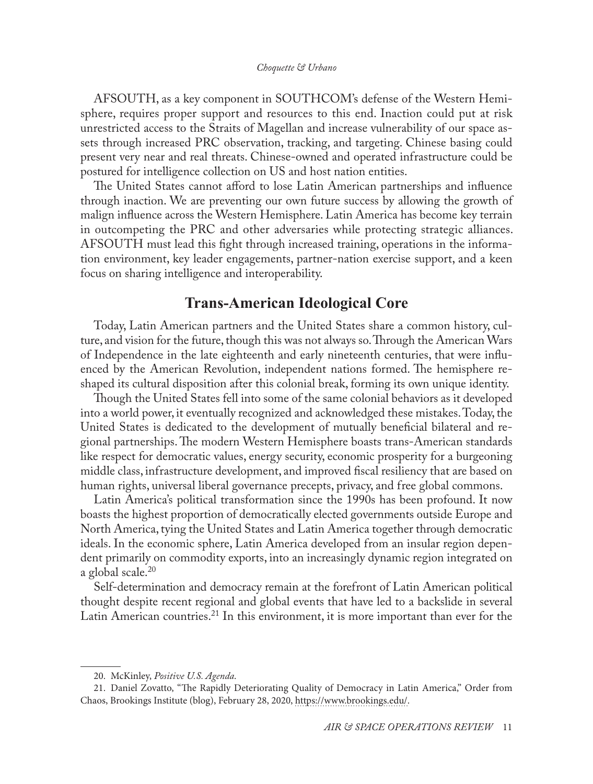AFSOUTH, as a key component in SOUTHCOM's defense of the Western Hemisphere, requires proper support and resources to this end. Inaction could put at risk unrestricted access to the Straits of Magellan and increase vulnerability of our space assets through increased PRC observation, tracking, and targeting. Chinese basing could present very near and real threats. Chinese-owned and operated infrastructure could be postured for intelligence collection on US and host nation entities.

The United States cannot afford to lose Latin American partnerships and influence through inaction. We are preventing our own future success by allowing the growth of malign influence across the Western Hemisphere. Latin America has become key terrain in outcompeting the PRC and other adversaries while protecting strategic alliances. AFSOUTH must lead this fight through increased training, operations in the information environment, key leader engagements, partner-nation exercise support, and a keen focus on sharing intelligence and interoperability.

## **Trans-American Ideological Core**

Today, Latin American partners and the United States share a common history, culture, and vision for the future, though this was not always so. Through the American Wars of Independence in the late eighteenth and early nineteenth centuries, that were influenced by the American Revolution, independent nations formed. The hemisphere reshaped its cultural disposition after this colonial break, forming its own unique identity.

Though the United States fell into some of the same colonial behaviors as it developed into a world power, it eventually recognized and acknowledged these mistakes. Today, the United States is dedicated to the development of mutually beneficial bilateral and regional partnerships. The modern Western Hemisphere boasts trans-American standards like respect for democratic values, energy security, economic prosperity for a burgeoning middle class, infrastructure development, and improved fiscal resiliency that are based on human rights, universal liberal governance precepts, privacy, and free global commons.

Latin America's political transformation since the 1990s has been profound. It now boasts the highest proportion of democratically elected governments outside Europe and North America, tying the United States and Latin America together through democratic ideals. In the economic sphere, Latin America developed from an insular region dependent primarily on commodity exports, into an increasingly dynamic region integrated on a global scale.<sup>20</sup>

Self-determination and democracy remain at the forefront of Latin American political thought despite recent regional and global events that have led to a backslide in several Latin American countries.<sup>21</sup> In this environment, it is more important than ever for the

<sup>20.</sup> McKinley, *Positive U.S. Agenda*.

<sup>21.</sup> Daniel Zovatto, "The Rapidly Deteriorating Quality of Democracy in Latin America," Order from Chaos, Brookings Institute (blog), February 28, 2020, [https://www.brookings.edu/.](https://www.brookings.edu/blog/order-from-chaos/2020/02/28/the-rapidly-deteriorating-quality-of-democracy-in-latin-america/)